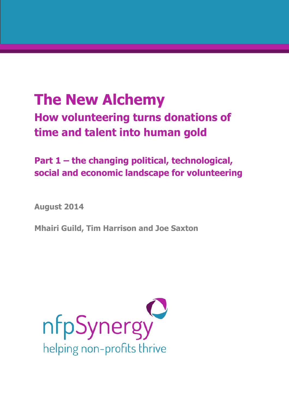# **The New Alchemy How volunteering turns donations of time and talent into human gold**

## **Part 1 – the changing political, technological, social and economic landscape for volunteering**

**August 2014**

**Mhairi Guild, Tim Harrison and Joe Saxton**

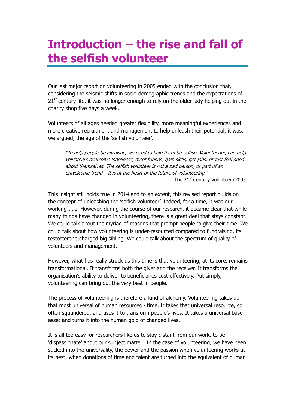## **Introduction – the rise and fall of the selfish volunteer**

Our last major report on volunteering in 2005 ended with the conclusion that, considering the seismic shifts in socio-demographic trends and the expectations of  $21<sup>st</sup>$  century life, it was no longer enough to rely on the older lady helping out in the charity shop five days a week.

Volunteers of all ages needed greater flexibility, more meaningful experiences and more creative recruitment and management to help unleash their potential; it was, we argued, the age of the 'selfish volunteer'.

"To help people be altruistic, we need to help them be selfish. Volunteering can help volunteers overcome loneliness, meet friends, gain skills, get jobs, or just feel good about themselves. The selfish volunteer is not a bad person, or part of an unwelcome trend – it is at the heart of the future of volunteering." The 21<sup>st</sup> Century Volunteer (2005)

This insight still holds true in 2014 and to an extent, this revised report builds on the concept of unleashing the 'selfish volunteer'. Indeed, for a time, it was our working title. However, during the course of our research, it became clear that while many things have changed in volunteering, there is a great deal that stays constant. We could talk about the myriad of reasons that prompt people to give their time. We could talk about how volunteering is under-resourced compared to fundraising, its testosterone-charged big sibling. We could talk about the spectrum of quality of volunteers and management.

However, what has really struck us this time is that volunteering, at its core, remains transformational. It transforms both the giver and the receiver. It transforms the organisation's ability to deliver to beneficiaries cost-effectively. Put simply, volunteering can bring out the very best in people.

The process of volunteering is therefore a kind of alchemy. Volunteering takes up that most universal of human resources - time. It takes that universal resource, so often squandered, and uses it to transform people's lives. It takes a universal base asset and turns it into the human gold of changed lives.

It is all too easy for researchers like us to stay distant from our work, to be 'dispassionate' about our subject matter. In the case of volunteering, we have been sucked into the universality, the power and the passion when volunteering works at its best; when donations of time and talent are turned into the equivalent of human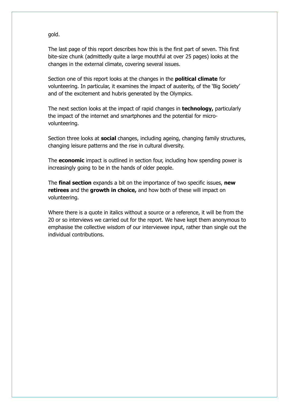gold.

The last page of this report describes how this is the first part of seven. This first bite-size chunk (admittedly quite a large mouthful at over 25 pages) looks at the changes in the external climate, covering several issues.

Section one of this report looks at the changes in the **political climate** for volunteering. In particular, it examines the impact of austerity, of the 'Big Society' and of the excitement and hubris generated by the Olympics.

The next section looks at the impact of rapid changes in **technology,** particularly the impact of the internet and smartphones and the potential for microvolunteering.

Section three looks at **social** changes, including ageing, changing family structures, changing leisure patterns and the rise in cultural diversity.

The **economic** impact is outlined in section four, including how spending power is increasingly going to be in the hands of older people.

The **final section** expands a bit on the importance of two specific issues, **new retirees** and the **growth in choice,** and how both of these will impact on volunteering.

Where there is a quote in italics without a source or a reference, it will be from the 20 or so interviews we carried out for the report. We have kept them anonymous to emphasise the collective wisdom of our interviewee input, rather than single out the individual contributions.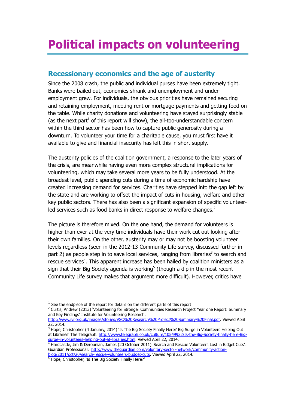## **Political impacts on volunteering**

### **Recessionary economics and the age of austerity**

Since the 2008 crash, the public and individual purses have been extremely tight. Banks were bailed out, economies shrank and unemployment and underemployment grew. For individuals, the obvious priorities have remained securing and retaining employment, meeting rent or mortgage payments and getting food on the table. While charity donations and volunteering have stayed surprisingly stable (as the next part<sup>1</sup> of this report will show), the all-too-understandable concern within the third sector has been how to capture public generosity during a downturn. To volunteer your time for a charitable cause, you must first have it available to give and financial insecurity has left this in short supply.

The austerity policies of the coalition government, a response to the later years of the crisis, are meanwhile having even more complex structural implications for volunteering, which may take several more years to be fully understood. At the broadest level, public spending cuts during a time of economic hardship have created increasing demand for services. Charities have stepped into the gap left by the state and are working to offset the impact of cuts in housing, welfare and other key public sectors. There has also been a significant expansion of specific volunteerled services such as food banks in direct response to welfare changes. $2$ 

The picture is therefore mixed. On the one hand, the demand for volunteers is higher than ever at the very time individuals have their work cut out looking after their own families. On the other, austerity may or may not be boosting volunteer levels regardless (seen in the 2012-13 Community Life survey, discussed further in part 2) as people step in to save local services, ranging from libraries<sup>3</sup> to search and rescue services<sup>4</sup>. This apparent increase has been hailed by coalition ministers as a sign that their Big Society agenda is working<sup>5</sup> (though a dip in the most recent Community Life survey makes that argument more difficult). However, critics have

j

 $<sup>1</sup>$  See the endpiece of the report for details on the different parts of this report</sup>

<sup>&</sup>lt;sup>2</sup> Curtis, Andrew (2013) 'Volunteering for Stronger Communities Research Project Year one Report: Summary and Key Findings' Institute for Volunteering Research.

[http://www.ivr.org.uk/images/stories/VSC%20Research%20Project%20Summary%20Final.pdf.](http://www.ivr.org.uk/images/stories/VSC%20Research%20Project%20Summary%20Final.pdf) Viewed April 22, 2014.

<sup>&</sup>lt;sup>3</sup> Hope, Christopher (4 January, 2014) 'Is The Big Society Finally Here? Big Surge in Volunteers Helping Out at Libraries' The Telegraph. [http://www.telegraph.co.uk/culture/10549932/Is-the-Big-Society-finally-here-Big](http://www.telegraph.co.uk/culture/10549932/Is-the-Big-Society-finally-here-Big-surge-in-volunteers-helping-out-at-libraries.html)[surge-in-volunteers-helping-out-at-libraries.html.](http://www.telegraph.co.uk/culture/10549932/Is-the-Big-Society-finally-here-Big-surge-in-volunteers-helping-out-at-libraries.html) Viewed April 22, 2014.

<sup>&</sup>lt;sup>4</sup> Hardcastle, Jim & Derounian, James (20 October 2011) 'Search and Rescue Volunteers Lost in Bidget Cuts'. Guardian Professional. [http://www.theguardian.com/voluntary-sector-network/community-action](http://www.theguardian.com/voluntary-sector-network/community-action-blog/2011/oct/20/search-rescue-volunteers-budget-cuts)[blog/2011/oct/20/search-rescue-volunteers-budget-cuts.](http://www.theguardian.com/voluntary-sector-network/community-action-blog/2011/oct/20/search-rescue-volunteers-budget-cuts) Viewed April 22, 2014.

<sup>&</sup>lt;sup>5</sup> Hope, Christopher, 'Is The Big Society Finally Here?'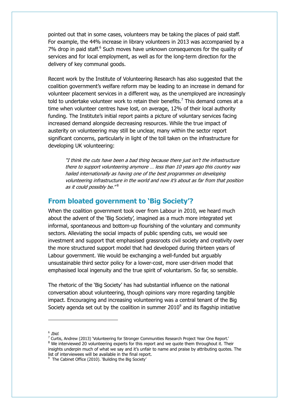pointed out that in some cases, volunteers may be taking the places of paid staff. For example, the 44% increase in library volunteers in 2013 was accompanied by a 7% drop in paid staff.<sup>6</sup> Such moves have unknown consequences for the quality of services and for local employment, as well as for the long-term direction for the delivery of key communal goods.

Recent work by the Institute of Volunteering Research has also suggested that the coalition government's welfare reform may be leading to an increase in demand for volunteer placement services in a different way, as the unemployed are increasingly told to undertake volunteer work to retain their benefits.<sup>7</sup> This demand comes at a time when volunteer centres have lost, on average, 12% of their local authority funding. The Institute's initial report paints a picture of voluntary services facing increased demand alongside decreasing resources. While the true impact of austerity on volunteering may still be unclear, many within the sector report significant concerns, particularly in light of the toll taken on the infrastructure for developing UK volunteering:

"I think the cuts have been a bad thing because there just isn't the infrastructure there to support volunteering anymore … less than 10 years ago this country was hailed internationally as having one of the best programmes on developing volunteering infrastructure in the world and now it's about as far from that position as it could possibly be." $^8$ 

### **From bloated government to 'Big Society'?**

When the coalition government took over from Labour in 2010, we heard much about the advent of the 'Big Society', imagined as a much more integrated yet informal, spontaneous and bottom-up flourishing of the voluntary and community sectors. Alleviating the social impacts of public spending cuts, we would see investment and support that emphasised grassroots civil society and creativity over the more structured support model that had developed during thirteen years of Labour government. We would be exchanging a well-funded but arguably unsustainable third sector policy for a lower-cost, more user-driven model that emphasised local ingenuity and the true spirit of voluntarism. So far, so sensible.

The rhetoric of the 'Big Society' has had substantial influence on the national conversation about volunteering, though opinions vary more regarding tangible impact. Encouraging and increasing volunteering was a central tenant of the Big Society agenda set out by the coalition in summer 2010 $^9$  and its flagship initiative

 $^6$  Ibid.

j

 $^7$  Curtis, Andrew (2013) 'Volunteering for Stronger Communities Research Project Year One Report.' <sup>8</sup> We interviewed 20 volunteering experts for this report and we quote them throughout it. Their insights underpin much of what we say and it's unfair to name and praise by attributing quotes. The list of interviewees will be available in the final report.

<sup>&</sup>lt;sup>9</sup> The Cabinet Office (2010). 'Building the Big Society'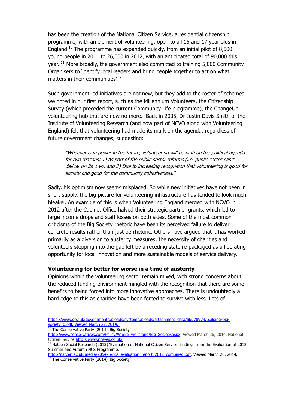has been the creation of the National Citizen Service, a residential citizenship programme, with an element of volunteering, open to all 16 and 17 year olds in England.<sup>10</sup> The programme has expanded quickly, from an initial pilot of 8,500 young people in 2011 to 26,000 in 2012, with an anticipated total of 90,000 this year.  $11$  More broadly, the government also committed to training 5,000 Community Organisers to 'identify local leaders and bring people together to act on what matters in their communities'.<sup>12</sup>

Such government-led initiatives are not new, but they add to the roster of schemes we noted in our first report, such as the Millennium Volunteers, the Citizenship Survey (which preceded the current Community Life programme), the ChangeUp volunteering hub that are now no more. Back in 2005, Dr Justin Davis Smith of the Institute of Volunteering Research (and now part of NCVO along with Volunteering England) felt that volunteering had made its mark on the agenda, regardless of future government changes, suggesting:

"Whoever is in power in the future, volunteering will be high on the political agenda for two reasons: 1) As part of the public sector reforms (i.e. public sector can't deliver on its own) and 2) Due to increasing recognition that volunteering is good for society and good for the community cohesiveness."

Sadly, his optimism now seems misplaced. So while new initiatives have not been in short supply, the big picture for volunteering infrastructure has tended to look much bleaker. An example of this is when Volunteering England merged with NCVO in 2012 after the Cabinet Office halved their strategic partner grants, which led to large income drops and staff losses on both sides. Some of the most common criticisms of the Big Society rhetoric have been its perceived failure to deliver concrete results rather than just be rhetoric. Others have argued that it has worked primarily as a diversion to austerity measures; the necessity of charities and volunteers stepping into the gap left by a receding state re-packaged as a liberating opportunity for local innovation and more sustainable models of service delivery.

#### **Volunteering for better for worse in a time of austerity**

Opinions within the volunteering sector remain mixed, with strong concerns about the reduced funding environment mingled with the recognition that there are some benefits to being forced into more innovative approaches. There is undoubtedly a hard edge to this as charities have been forced to survive with less. Lots of

<sup>10</sup> The Conservative Party (2014) 'Big Society'

-

[https://www.gov.uk/government/uploads/system/uploads/attachment\\_data/file/78979/building-big](https://www.gov.uk/government/uploads/system/uploads/attachment_data/file/78979/building-big-society_0.pdf)society 0.pdf. Viewed March 27, 2014.

[http://www.conservatives.com/Policy/Where\\_we\\_stand/Big\\_Society.aspx.](http://www.conservatives.com/Policy/Where_we_stand/Big_Society.aspx) Viewed March 26, 2014. National Citizen Service<http://www.ncsyes.co.uk/>

<sup>&</sup>lt;sup>11</sup> Natcen Social Research (2013) 'Evaluation of National Citizen Service: findings from the Evaluation of 2012 Summer and Autumn NCS Programme.

[http://natcen.ac.uk/media/205475/ncs\\_evaluation\\_report\\_2012\\_combined.pdf.](http://natcen.ac.uk/media/205475/ncs_evaluation_report_2012_combined.pdf) Viewed March 26, 2014. <sup>12</sup> The Conservative Party (2014) 'Big Society'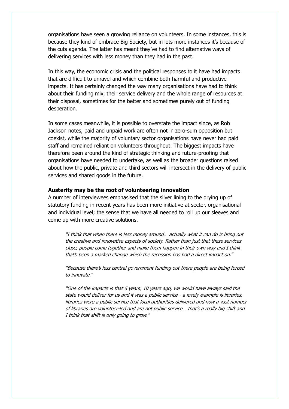organisations have seen a growing reliance on volunteers. In some instances, this is because they kind of embrace Big Society, but in lots more instances it's because of the cuts agenda. The latter has meant they've had to find alternative ways of delivering services with less money than they had in the past.

In this way, the economic crisis and the political responses to it have had impacts that are difficult to unravel and which combine both harmful and productive impacts. It has certainly changed the way many organisations have had to think about their funding mix, their service delivery and the whole range of resources at their disposal, sometimes for the better and sometimes purely out of funding desperation.

In some cases meanwhile, it is possible to overstate the impact since, as Rob Jackson notes, paid and unpaid work are often not in zero-sum opposition but coexist, while the majority of voluntary sector organisations have never had paid staff and remained reliant on volunteers throughout. The biggest impacts have therefore been around the kind of strategic thinking and future-proofing that organisations have needed to undertake, as well as the broader questions raised about how the public, private and third sectors will intersect in the delivery of public services and shared goods in the future.

#### **Austerity may be the root of volunteering innovation**

A number of interviewees emphasised that the silver lining to the drying up of statutory funding in recent years has been more initiative at sector, organisational and individual level; the sense that we have all needed to roll up our sleeves and come up with more creative solutions.

"I think that when there is less money around… actually what it can do is bring out the creative and innovative aspects of society. Rather than just that these services close, people come together and make them happen in their own way and I think that's been a marked change which the recession has had a direct impact on."

"Because there's less central government funding out there people are being forced to innovate"

"One of the impacts is that 5 years, 10 years ago, we would have always said the state would deliver for us and it was a public service - a lovely example is libraries, libraries were a public service that local authorities delivered and now a vast number of libraries are volunteer-led and are not public service… that's a really big shift and I think that shift is only going to grow."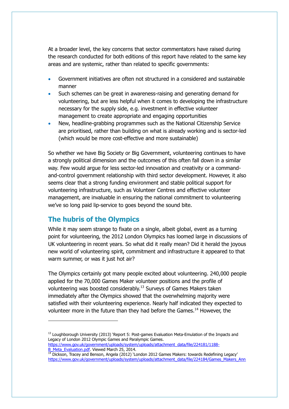At a broader level, the key concerns that sector commentators have raised during the research conducted for both editions of this report have related to the same key areas and are systemic, rather than related to specific governments:

- Government initiatives are often not structured in a considered and sustainable manner
- Such schemes can be great in awareness-raising and generating demand for volunteering, but are less helpful when it comes to developing the infrastructure necessary for the supply side, e.g. investment in effective volunteer management to create appropriate and engaging opportunities
- New, headline-grabbing programmes such as the National Citizenship Service are prioritised, rather than building on what is already working and is sector-led (which would be more cost-effective and more sustainable)

So whether we have Big Society or Big Government, volunteering continues to have a strongly political dimension and the outcomes of this often fall down in a similar way. Few would argue for less sector-led innovation and creativity or a commandand-control government relationship with third sector development. However, it also seems clear that a strong funding environment and stable political support for volunteering infrastructure, such as Volunteer Centres and effective volunteer management, are invaluable in ensuring the national commitment to volunteering we've so long paid lip-service to goes beyond the sound bite.

### **The hubris of the Olympics**

While it may seem strange to fixate on a single, albeit global, event as a turning point for volunteering, the 2012 London Olympics has loomed large in discussions of UK volunteering in recent years. So what did it really mean? Did it herald the joyous new world of volunteering spirit, commitment and infrastructure it appeared to that warm summer, or was it just hot air?

The Olympics certainly got many people excited about volunteering. 240,000 people applied for the 70,000 Games Maker volunteer positions and the profile of volunteering was boosted considerably.<sup>13</sup> Surveys of Games Makers taken immediately after the Olympics showed that the overwhelming majority were satisfied with their volunteering experience. Nearly half indicated they expected to volunteer more in the future than they had before the Games.<sup>14</sup> However, the

[B\\_Meta\\_Evaluation.pdf.](https://www.gov.uk/government/uploads/system/uploads/attachment_data/file/224181/1188-B_Meta_Evaluation.pdf) Viewed March 25, 2014.

j

<sup>14</sup> Dickson, Tracey and Benson, Angela (2012) 'London 2012 Games Makers: towards Redefining Legacy' [https://www.gov.uk/government/uploads/system/uploads/attachment\\_data/file/224184/Games\\_Makers\\_Ann](https://www.gov.uk/government/uploads/system/uploads/attachment_data/file/224184/Games_Makers_Annex.pdf)

<sup>&</sup>lt;sup>13</sup> Loughborough University (2013) 'Report 5: Post-games Evaluation Meta-Emulation of the Impacts and Legacy of London 2012 Olympic Games and Paralympic Games. [https://www.gov.uk/government/uploads/system/uploads/attachment\\_data/file/224181/1188-](https://www.gov.uk/government/uploads/system/uploads/attachment_data/file/224181/1188-B_Meta_Evaluation.pdf)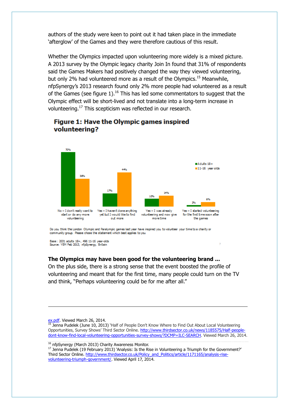authors of the study were keen to point out it had taken place in the immediate 'afterglow' of the Games and they were therefore cautious of this result.

Whether the Olympics impacted upon volunteering more widely is a mixed picture. A 2013 survey by the Olympic legacy charity Join In found that 31% of respondents said the Games Makers had positively changed the way they viewed volunteering, but only 2% had volunteered more as a result of the Olympics.<sup>15</sup> Meanwhile, nfpSynergy's 2013 research found only 2% more people had volunteered as a result of the Games (see figure 1).<sup>16</sup> This has led some commentators to suggest that the Olympic effect will be short-lived and not translate into a long-term increase in volunteering.<sup>17</sup> This scepticism was reflected in our research.



### Figure 1: Have the Olympic games inspired volunteering?

Do you think the London Olympic and Paralympic games last year have inspired you to volunteer your time to a charity or community group. Please chose the statement which best applies to you

Base : 2031 adults 18+, 496 11-16 year-olds<br>Source: YEM Feb 2013, nfpSynergy, Britain

#### **The Olympics may have been good for the volunteering brand ...**

On the plus side, there is a strong sense that the event boosted the profile of volunteering and meant that for the first time, many people could turn on the TV and think, "Perhaps volunteering could be for me after all."

[ex.pdf.](https://www.gov.uk/government/uploads/system/uploads/attachment_data/file/224184/Games_Makers_Annex.pdf) Viewed March 26, 2014.

-

<sup>15</sup> Jenna Pudelek (June 10, 2013) 'Half of People Don't Know Where to Find Out About Local Volunteering Opportunities, Survey Shows' Third Sector Online. [http://www.thirdsector.co.uk/news/1185575/Half-people](http://www.thirdsector.co.uk/news/1185575/Half-people-dont-know-find-local-volunteering-opportunities-survey-shows/?DCMP=ILC-SEARCH)[dont-know-find-local-volunteering-opportunities-survey-shows/?DCMP=ILC-SEARCH.](http://www.thirdsector.co.uk/news/1185575/Half-people-dont-know-find-local-volunteering-opportunities-survey-shows/?DCMP=ILC-SEARCH) Viewed March 26, 2014.

<sup>16</sup> nfpSynergy (March 2013) Charity Awareness Monitor.

<sup>17</sup> Jenna Pudelek (19 February 2013) 'Analysis: Is the Rise in Volunteering a Triumph for the Government?' Third Sector Online. [http://www.thirdsector.co.uk/Policy\\_and\\_Politics/article/1171165/analysis-rise](http://www.thirdsector.co.uk/Policy_and_Politics/article/1171165/analysis-rise-volunteering-triumph-government/)[volunteering-triumph-government/.](http://www.thirdsector.co.uk/Policy_and_Politics/article/1171165/analysis-rise-volunteering-triumph-government/) Viewed April 17, 2014.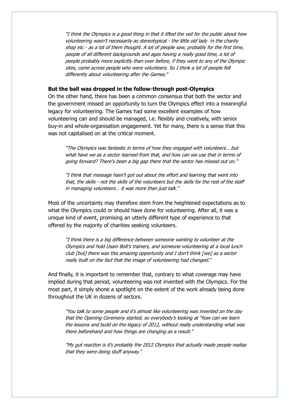"I think the Olympics is a good thing in that it lifted the veil for the public about how volunteering wasn't necessarily as stereotypical - the little old lady in the charity shop etc - as a lot of them thought. A lot of people saw, probably for the first time, people of all different backgrounds and ages having a really good time, a lot of people probably more explicitly than ever before, if they went to any of the Olympic sites, came across people who were volunteers. So I think a lot of people felt differently about volunteering after the Games."

#### **But the ball was dropped in the follow-through post-Olympics**

On the other hand, there has been a common consensus that both the sector and the government missed an opportunity to turn the Olympics effect into a meaningful legacy for volunteering. The Games had some excellent examples of how volunteering can and should be managed, i.e. flexibly and creatively, with senior buy-in and whole-organisation engagement. Yet for many, there is a sense that this was not capitalised on at the critical moment.

"The Olympics was fantastic in terms of how they engaged with volunteers… but what have we as a sector learned from that, and how can we use that in terms of going forward? There's been a big gap there that the sector has missed out on."

"I think that message hasn't got out about the effort and learning that went into that, the skills - not the skills of the volunteers but the skills for the rest of the staff in managing volunteers… it was more than just talk."

Most of the uncertainty may therefore stem from the heightened expectations as to what the Olympics could or should have done for volunteering. After all, it was a unique kind of event, promising an utterly different type of experience to that offered by the majority of charities seeking volunteers.

"I think there is a big difference between someone wanting to volunteer at the Olympics and hold Usain Bolt's trainers, and someone volunteering at a local lunch club [but] there was this amazing opportunity and I don't think [we] as a sector really built on the fact that the image of volunteering had changed."

And finally, it is important to remember that, contrary to what coverage may have implied during that period, volunteering was not invented with the Olympics. For the most part, it simply shone a spotlight on the extent of the work already being done throughout the UK in dozens of sectors.

"You talk to some people and it's almost like volunteering was invented on the day that the Opening Ceremony started, so everybody's looking at "how can we learn the lessons and build on the legacy of 2012, without really understanding what was there beforehand and how things are changing as a result."

"My gut reaction is it's probably the 2012 Olympics that actually made people realise that they were doing stuff anyway."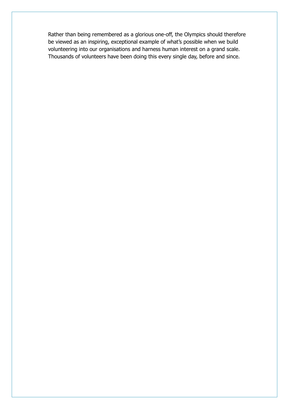Rather than being remembered as a glorious one-off, the Olympics should therefore be viewed as an inspiring, exceptional example of what's possible when we build volunteering into our organisations and harness human interest on a grand scale. Thousands of volunteers have been doing this every single day, before and since.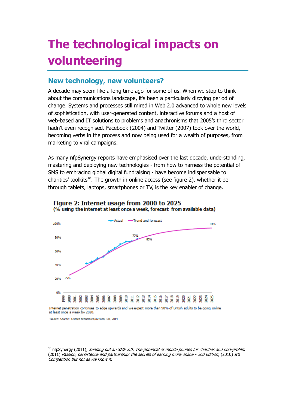## **The technological impacts on volunteering**

### **New technology, new volunteers?**

A decade may seem like a long time ago for some of us. When we stop to think about the communications landscape, it's been a particularly dizzying period of change. Systems and processes still mired in Web 2.0 advanced to whole new levels of sophistication, with user-generated content, interactive forums and a host of web-based and IT solutions to problems and anachronisms that 2005's third sector hadn't even recognised. Facebook (2004) and Twitter (2007) took over the world, becoming verbs in the process and now being used for a wealth of purposes, from marketing to viral campaigns.

As many nfpSynergy reports have emphasised over the last decade, understanding, mastering and deploying new technologies - from how to harness the potential of SMS to embracing global digital fundraising - have become indispensable to charities' toolkits<sup>18</sup>. The growth in online access (see figure 2), whether it be through tablets, laptops, smartphones or TV, is the key enabler of change.



Figure 2: Internet usage from 2000 to 2025 (% using the internet at least once a week, forecast from available data)

Internet penetration continues to edge upwards and we expect more than 90% of British adults to be going online at least once a week by 2020.

Source: Source: Oxford Economics/nVision, UK, 2014

j

 $18$  nfpSynergy (2011), Sending out an SMS 2.0: The potential of mobile phones for charities and non-profits; (2011) Passion, persistence and partnership: the secrets of earning more online - 2nd Edition; (2010) It's Competition but not as we know it.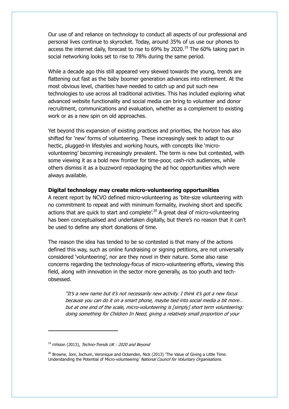Our use of and reliance on technology to conduct all aspects of our professional and personal lives continue to skyrocket. Today, around 35% of us use our phones to access the internet daily, forecast to rise to 69% by 2020.<sup>19</sup> The 60% taking part in social networking looks set to rise to 78% during the same period.

While a decade ago this still appeared very skewed towards the young, trends are flattening out fast as the baby boomer generation advances into retirement. At the most obvious level, charities have needed to catch up and put such new technologies to use across all traditional activities. This has included exploring what advanced website functionality and social media can bring to volunteer and donor recruitment, communications and evaluation, whether as a complement to existing work or as a new spin on old approaches.

Yet beyond this expansion of existing practices and priorities, the horizon has also shifted for 'new' forms of volunteering. These increasingly seek to adapt to our hectic, plugged-in lifestyles and working hours, with concepts like 'microvolunteering' becoming increasingly prevalent. The term is new but contested, with some viewing it as a bold new frontier for time-poor, cash-rich audiences, while others dismiss it as a buzzword repackaging the ad hoc opportunities which were always available.

#### **Digital technology may create micro-volunteering opportunities**

A recent report by NCVO defined micro-volunteering as 'bite-size volunteering with no commitment to repeat and with minimum formality, involving short and specific actions that are quick to start and complete<sup>', 20</sup> A great deal of micro-volunteering has been conceptualised and undertaken digitally, but there's no reason that it can't be used to define any short donations of time.

The reason the idea has tended to be so contested is that many of the actions defined this way, such as online fundraising or signing petitions, are not universally considered 'volunteering', nor are they novel in their nature. Some also raise concerns regarding the technology-focus of micro-volunteering efforts, viewing this field, along with innovation in the sector more generally, as too youth and techobsessed.

"It's a new name but it's not necessarily new activity. I think it's got a new focus because you can do it on a smart phone, maybe tied into social media a bit more… but at one end of the scale, micro-volunteering is [simply] short term volunteering: doing something for Children In Need, giving a relatively small proportion of your

 $\overline{a}$ 

 $19$  nVision (2013), Techno-Trends UK : 2020 and Beyond

 $20$  Browne, Joni, Jochum, Veronique and Ockenden, Nick (2013) 'The Value of Giving a Little Time: Understanding the Potential of Micro-volunteering' National Council for Voluntary Organisations.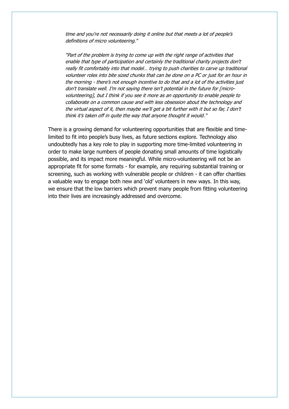time and you're not necessarily doing it online but that meets a lot of people's definitions of micro volunteering."

"Part of the problem is trying to come up with the right range of activities that enable that type of participation and certainly the traditional charity projects don't really fit comfortably into that model… trying to push charities to carve up traditional volunteer roles into bite sized chunks that can be done on a PC or just for an hour in the morning - there's not enough incentive to do that and a lot of the activities just don't translate well. I'm not saying there isn't potential in the future for [microvolunteering], but I think if you see it more as an opportunity to enable people to collaborate on a common cause and with less obsession about the technology and the virtual aspect of it, then maybe we'll get a bit further with it but so far, I don't think it's taken off in quite the way that anyone thought it would."

There is a growing demand for volunteering opportunities that are flexible and timelimited to fit into people's busy lives, as future sections explore. Technology also undoubtedly has a key role to play in supporting more time-limited volunteering in order to make large numbers of people donating small amounts of time logistically possible, and its impact more meaningful. While micro-volunteering will not be an appropriate fit for some formats - for example, any requiring substantial training or screening, such as working with vulnerable people or children - it can offer charities a valuable way to engage both new and 'old' volunteers in new ways. In this way, we ensure that the low barriers which prevent many people from fitting volunteering into their lives are increasingly addressed and overcome.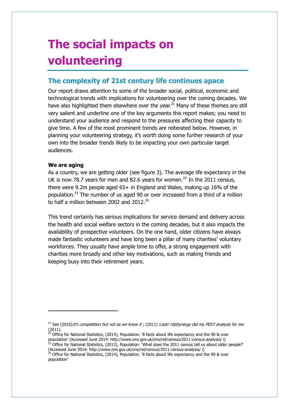## **The social impacts on volunteering**

### **The complexity of 21st century life continues apace**

Our report draws attention to some of the broader social, political, economic and technological trends with implications for volunteering over the coming decades. We have also highlighted them elsewhere over the year. $^{21}$  Many of these themes are still very salient and underline one of the key arguments this report makes; you need to understand your audience and respond to the pressures affecting their capacity to give time. A few of the most prominent trends are reiterated below. However, in planning your volunteering strategy, it's worth doing some further research of your own into the broader trends likely to be impacting your own particular target audiences.

#### **We are aging**

j

As a country, we are getting older (see figure 3). The average life expectancy in the UK is now 78.7 years for men and 82.6 years for women.<sup>22</sup> In the 2011 census, there were 9.2m people aged 65+ in England and Wales, making up 16% of the population.<sup>23</sup> The number of us aged 90 or over increased from a third of a million to half a million between 2002 and  $2012^{24}$ 

This trend certainly has serious implications for service demand and delivery across the health and social welfare sectors in the coming decades, but it also impacts the availability of prospective volunteers. On the one hand, older citizens have always made fantastic volunteers and have long been a pillar of many charities' voluntary workforces. They usually have ample time to offer, a strong engagement with charities more broadly and other key motivations, such as making friends and keeping busy into their retirement years.

<sup>&</sup>lt;sup>21</sup> See (2010)*It's competition but not as we know it*: (2011) *Look! nfpSynergy did my PEST analysis for me*  $(2011)$ .

<sup>22</sup> Office for National Statistics, (2014), Population: '8 facts about life expectancy and the 90 & over population' (Accessed June 2014: http://www.ons.gov.uk/ons/rel/census/2011-census-analysis/ l) <sup>3</sup> Office for National Statistics, (2013), Population: What does the 2011 census tell us about older people?'

<sup>(</sup>Accessed June 2014: http://www.ons.gov.uk/ons/rel/census/2011-census-analysis/ l)

<sup>24</sup> Office for National Statistics, (2014), Population: '8 facts about life expectancy and the 90 & over population'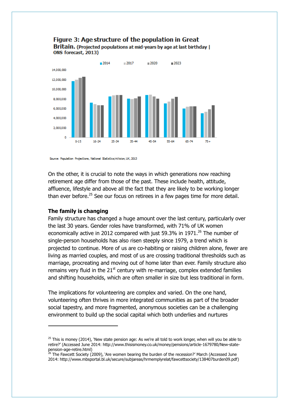

#### Figure 3: Age structure of the population in Great Britain. (Projected populations at mid-years by age at last birthday | ONS forecast, 2013)

Source: Population Profections, National Statistics/nVision, UK, 2013

On the other, it is crucial to note the ways in which generations now reaching retirement age differ from those of the past. These include health, attitude, affluence, lifestyle and above all the fact that they are likely to be working longer than ever before.<sup>25</sup> See our focus on retirees in a few pages time for more detail.

#### **The family is changing**

 $\overline{a}$ 

Family structure has changed a huge amount over the last century, particularly over the last 30 years. Gender roles have transformed, with 71% of UK women economically active in 2012 compared with just 59.3% in 1971.<sup>26</sup> The number of single-person households has also risen steeply since 1979, a trend which is projected to continue. More of us are co-habiting or raising children alone, fewer are living as married couples, and most of us are crossing traditional thresholds such as marriage, procreating and moving out of home later than ever. Family structure also remains very fluid in the  $21<sup>st</sup>$  century with re-marriage, complex extended families and shifting households, which are often smaller in size but less traditional in form.

The implications for volunteering are complex and varied. On the one hand, volunteering often thrives in more integrated communities as part of the broader social tapestry, and more fragmented, anonymous societies can be a challenging environment to build up the social capital which both underlies and nurtures

 $25$  This is money (2014), 'New state pension age: As we're all told to work longer, when will you be able to retire?' (Accessed June 2014: http://www.thisismoney.co.uk/money/pensions/article-1679780/New-statepension-age-retire.html)

 $^{26}$  The Fawcett Society (2009), 'Are women bearing the burden of the recession?' March (Accessed June 2014: http://www.mbsportal.bl.uk/secure/subjareas/hrmemplyrelat/fawcettsociety/138407burden09.pdf)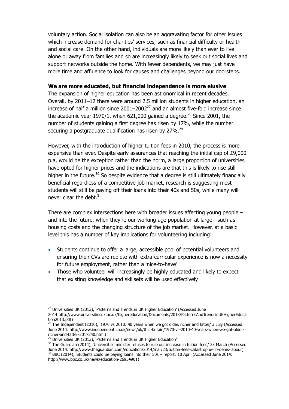voluntary action. Social isolation can also be an aggravating factor for other issues which increase demand for charities' services, such as financial difficulty or health and social care. On the other hand, individuals are more likely than ever to live alone or away from families and so are increasingly likely to seek out social lives and support networks outside the home. With fewer dependents, we may just have more time and affluence to look for causes and challenges beyond our doorsteps.

#### **We are more educated, but financial independence is more elusive**

The expansion of higher education has been astronomical in recent decades. Overall, by 2011–12 there were around 2.5 million students in higher education, an increase of half a million since  $2001-2002<sup>27</sup>$  and an almost five-fold increase since the academic year 1970/1, when 621,000 gained a degree.<sup>28</sup> Since 2001, the number of students gaining a first degree has risen by 17%, while the number securing a postgraduate qualification has risen by 27%.<sup>29</sup>

However, with the introduction of higher tuition fees in 2010, the process is more expensive than ever. Despite early assurances that reaching the initial cap of £9,000 p.a. would be the exception rather than the norm, a large proportion of universities have opted for higher prices and the indications are that this is likely to rise still higher in the future.<sup>30</sup> So despite evidence that a degree is still ultimately financially beneficial regardless of a competitive job market, research is suggesting most students will still be paying off their loans into their 40s and 50s, while many will never clear the debt.<sup>31</sup>

There are complex intersections here with broader issues affecting young people  $$ and into the future, when they're our working age population at large - such as housing costs and the changing structure of the job market. However, at a basic level this has a number of key implications for volunteering including:

- Students continue to offer a large, accessible pool of potential volunteers and ensuring their CVs are replete with extra-curricular experience is now a necessity for future employment, rather than a 'nice-to-have'
- Those who volunteer will increasingly be highly educated and likely to expect that existing knowledge and skillsets will be used effectively

j

 $27$  Universities UK (2013), 'Patterns and Trends in UK Higher Education' (Accessed June

<sup>2014:</sup>http://www.universitiesuk.ac.uk/highereducation/Documents/2013/PatternsAndTrendsinUKHigherEduca tion2013.pdf)

<sup>&</sup>lt;sup>2</sup> The Independent (2010), '1970 vs 2010: 40 years when we got older, richer and fatter,' 3 July (Accessed June 2014: http://www.independent.co.uk/news/uk/this-britain/1970-vs-2010-40-years-when-we-got-olderricher-and-fatter-2017240.html)

 $^{29}$  Universities UK (2013), 'Patterns and Trends in UK Higher Education'.

<sup>&</sup>lt;sup>30</sup> The Guardian (2014), 'Universities minister refuses to rule out increase in tuition fees,' 23 March (Accessed June 2014: http://www.theguardian.com/education/2014/mar/23/tuition-fees-catastrophe-lib-dems-labour) <sup>31</sup> BBC (2014), 'Students could be paying loans into their 50s – report,' 10 April (Accessed June 2014: http://www.bbc.co.uk/news/education-26954901)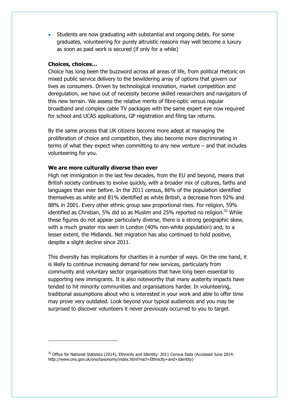Students are now graduating with substantial and ongoing debts. For some graduates, volunteering for purely altruistic reasons may well become a luxury as soon as paid work is secured (if only for a while)

#### **Choices, choices…**

 $\overline{a}$ 

Choice has long been the buzzword across all areas of life, from political rhetoric on mixed public service delivery to the bewildering array of options that govern our lives as consumers. Driven by technological innovation, market competition and deregulation, we have out of necessity become skilled researchers and navigators of this new terrain. We assess the relative merits of fibre-optic versus regular broadband and complex cable TV packages with the same expert eye now required for school and UCAS applications, GP registration and filing tax returns.

By the same process that UK citizens become more adept at managing the proliferation of choice and competition, they also become more discriminating in terms of what they expect when committing to any new venture – and that includes volunteering for you.

#### **We are more culturally diverse than ever**

High net immigration in the last few decades, from the EU and beyond, means that British society continues to evolve quickly, with a broader mix of cultures, faiths and languages than ever before. In the 2011 census, 86% of the population identified themselves as white and 81% identified as white British, a decrease from 92% and 88% in 2001. Every other ethnic group saw proportional rises. For religion, 59% identified as Christian, 5% did so as Muslim and 25% reported no religion.<sup>32</sup> While these figures do not appear particularly diverse, there is a strong geographic skew, with a much greater mix seen in London (40% non-white population) and, to a lesser extent, the Midlands. Net migration has also continued to hold positive, despite a slight decline since 2011.

This diversity has implications for charities in a number of ways. On the one hand, it is likely to continue increasing demand for new services, particularly from community and voluntary sector organisations that have long been essential to supporting new immigrants. It is also noteworthy that many austerity impacts have tended to hit minority communities and organisations harder. In volunteering, traditional assumptions about who is interested in your work and able to offer time may prove very outdated. Look beyond your typical audiences and you may be surprised to discover volunteers it never previously occurred to you to target.

 $32$  Office for National Statistics (2014), Ethnicity and Identity: 2011 Census Data (Accessed June 2014: http://www.ons.gov.uk/ons/taxonomy/index.html?nscl=Ethnicity+and+Identity)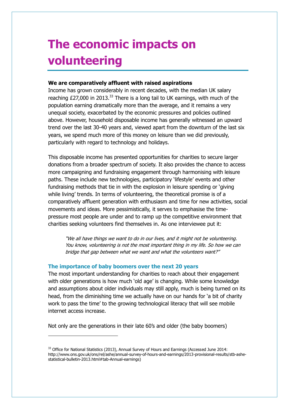## **The economic impacts on volunteering**

#### **We are comparatively affluent with raised aspirations**

Income has grown considerably in recent decades, with the median UK salary reaching  $£27,000$  in 2013.<sup>33</sup> There is a long tail to UK earnings, with much of the population earning dramatically more than the average, and it remains a very unequal society, exacerbated by the economic pressures and policies outlined above. However, household disposable income has generally witnessed an upward trend over the last 30-40 years and, viewed apart from the downturn of the last six years, we spend much more of this money on leisure than we did previously, particularly with regard to technology and holidays.

This disposable income has presented opportunities for charities to secure larger donations from a broader spectrum of society. It also provides the chance to access more campaigning and fundraising engagement through harmonising with leisure paths. These include new technologies, participatory 'lifestyle' events and other fundraising methods that tie in with the explosion in leisure spending or 'giving while living' trends. In terms of volunteering, the theoretical promise is of a comparatively affluent generation with enthusiasm and time for new activities, social movements and ideas. More pessimistically, it serves to emphasise the timepressure most people are under and to ramp up the competitive environment that charities seeking volunteers find themselves in. As one interviewee put it:

"We all have things we want to do in our lives, and it might not be volunteering. You know, volunteering is not the most important thing in my life. So how we can bridge that gap between what we want and what the volunteers want?"

#### **The importance of baby boomers over the next 20 years**

j

The most important understanding for charities to reach about their engagement with older generations is how much 'old age' is changing. While some knowledge and assumptions about older individuals may still apply, much is being turned on its head, from the diminishing time we actually have on our hands for 'a bit of charity work to pass the time' to the growing technological literacy that will see mobile internet access increase.

Not only are the generations in their late 60's and older (the baby boomers)

<sup>&</sup>lt;sup>33</sup> Office for National Statistics (2013), Annual Survey of Hours and Earnings (Accessed June 2014: http://www.ons.gov.uk/ons/rel/ashe/annual-survey-of-hours-and-earnings/2013-provisional-results/stb-ashestatistical-bulletin-2013.html#tab-Annual-earnings)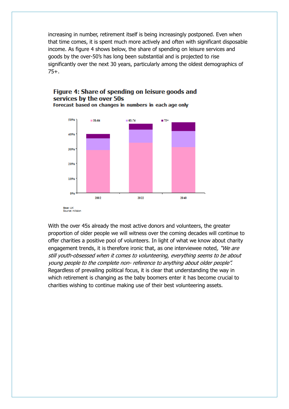increasing in number, retirement itself is being increasingly postponed. Even when that time comes, it is spent much more actively and often with significant disposable income. As figure 4 shows below, the share of spending on leisure services and goods by the over-50's has long been substantial and is projected to rise significantly over the next 30 years, particularly among the oldest demographics of 75+.



Figure 4: Share of spending on leisure goods and services by the over 50s Forecast based on changes in numbers in each age only

With the over 45s already the most active donors and volunteers, the greater proportion of older people we will witness over the coming decades will continue to offer charities a positive pool of volunteers. In light of what we know about charity engagement trends, it is therefore ironic that, as one interviewee noted, "We are still youth-obsessed when it comes to volunteering, everything seems to be about young people to the complete non- reference to anything about older people". Regardless of prevailing political focus, it is clear that understanding the way in which retirement is changing as the baby boomers enter it has become crucial to charities wishing to continue making use of their best volunteering assets.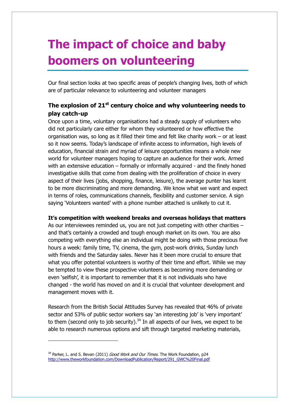# **The impact of choice and baby boomers on volunteering**

Our final section looks at two specific areas of people's changing lives, both of which are of particular relevance to volunteering and volunteer managers

### **The explosion of 21st century choice and why volunteering needs to play catch-up**

Once upon a time, voluntary organisations had a steady supply of volunteers who did not particularly care either for whom they volunteered or how effective the organisation was, so long as it filled their time and felt like charity work – or at least so it now seems. Today's landscape of infinite access to information, high levels of education, financial strain and myriad of leisure opportunities means a whole new world for volunteer managers hoping to capture an audience for their work. Armed with an extensive education – formally or informally acquired - and the finely honed investigative skills that come from dealing with the proliferation of choice in every aspect of their lives (jobs, shopping, finance, leisure), the average punter has learnt to be more discriminating and more demanding. We know what we want and expect in terms of roles, communications channels, flexibility and customer service. A sign saying 'Volunteers wanted' with a phone number attached is unlikely to cut it.

#### **It's competition with weekend breaks and overseas holidays that matters**

As our interviewees reminded us, you are not just competing with other charities – and that's certainly a crowded and tough enough market on its own. You are also competing with everything else an individual might be doing with those precious five hours a week: family time, TV, cinema, the gym, post-work drinks, Sunday lunch with friends and the Saturday sales. Never has it been more crucial to ensure that what you offer potential volunteers is worthy of their time and effort. While we may be tempted to view these prospective volunteers as becoming more demanding or even 'selfish', it is important to remember that it is not individuals who have changed - the world has moved on and it is crucial that volunteer development and management moves with it.

Research from the British Social Attitudes Survey has revealed that 46% of private sector and 53% of public sector workers say 'an interesting job' is 'very important' to them (second only to job security). $34$  In all aspects of our lives, we expect to be able to research numerous options and sift through targeted marketing materials,

 $\overline{a}$ 

 $34$  Parker, L. and S. Bevan (2011) *Good Work and Our Times*. The Work Foundation, p24 [http://www.theworkfoundation.com/DownloadPublication/Report/291\\_GWC%20Final.pdf](http://www.theworkfoundation.com/DownloadPublication/Report/291_GWC%20Final.pdf)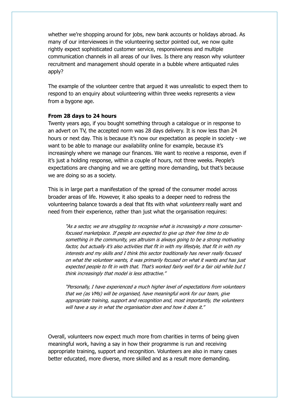whether we're shopping around for jobs, new bank accounts or holidays abroad. As many of our interviewees in the volunteering sector pointed out, we now quite rightly expect sophisticated customer service, responsiveness and multiple communication channels in all areas of our lives. Is there any reason why volunteer recruitment and management should operate in a bubble where antiquated rules apply?

The example of the volunteer centre that argued it was unrealistic to expect them to respond to an enquiry about volunteering within three weeks represents a view from a bygone age.

#### **From 28 days to 24 hours**

Twenty years ago, if you bought something through a catalogue or in response to an advert on TV, the accepted norm was 28 days delivery. It is now less than 24 hours or next day. This is because it's now our expectation as people in society - we want to be able to manage our availability online for example, because it's increasingly where we manage our finances. We want to receive a response, even if it's just a holding response, within a couple of hours, not three weeks. People's expectations are changing and we are getting more demanding, but that's because we are doing so as a society.

This is in large part a manifestation of the spread of the consumer model across broader areas of life. However, it also speaks to a deeper need to redress the volunteering balance towards a deal that fits with what *volunteers* really want and need from their experience, rather than just what the organisation requires:

"As a sector, we are struggling to recognise what is increasingly a more consumerfocused marketplace. If people are expected to give up their free time to do something in the community, yes altruism is always going to be a strong motivating factor, but actually it's also activities that fit in with my lifestyle, that fit in with my interests and my skills and I think this sector traditionally has never really focused on what the volunteer wants, it was primarily focused on what it wants and has just expected people to fit in with that. That's worked fairly well for a fair old while but I think increasingly that model is less attractive."

"Personally, I have experienced a much higher level of expectations from volunteers that we (as VMs) will be organised, have meaningful work for our team, give appropriate training, support and recognition and, most importantly, the volunteers will have a say in what the organisation does and how it does it."

Overall, volunteers now expect much more from charities in terms of being given meaningful work, having a say in how their programme is run and receiving appropriate training, support and recognition. Volunteers are also in many cases better educated, more diverse, more skilled and as a result more demanding.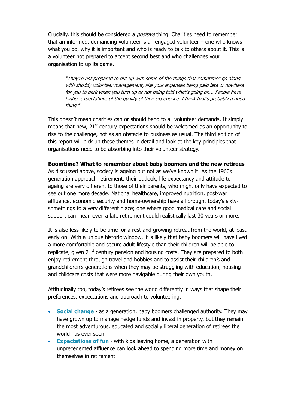Crucially, this should be considered a *positive* thing. Charities need to remember that an informed, demanding volunteer is an engaged volunteer – one who knows what you do, why it is important and who is ready to talk to others about it. This is a volunteer not prepared to accept second best and who challenges your organisation to up its game.

"They're not prepared to put up with some of the things that sometimes go along with shoddy volunteer management, like your expenses being paid late or nowhere for you to park when you turn up or not being told what's going on... People have higher expectations of the quality of their experience. I think that's probably a good thing."

This doesn't mean charities can or should bend to all volunteer demands. It simply means that new,  $21<sup>st</sup>$  century expectations should be welcomed as an opportunity to rise to the challenge, not as an obstacle to business as usual. The third edition of this report will pick up these themes in detail and look at the key principles that organisations need to be absorbing into their volunteer strategy.

#### **Boomtime? What to remember about baby boomers and the new retirees**

As discussed above, society is ageing but not as we've known it. As the 1960s generation approach retirement, their outlook, life expectancy and attitude to ageing are very different to those of their parents, who might only have expected to see out one more decade. National healthcare, improved nutrition, post-war affluence, economic security and home-ownership have all brought today's sixtysomethings to a very different place; one where good medical care and social support can mean even a late retirement could realistically last 30 years or more.

It is also less likely to be time for a rest and growing retreat from the world, at least early on. With a unique historic window, it is likely that baby boomers will have lived a more comfortable and secure adult lifestyle than their children will be able to replicate, given  $21<sup>st</sup>$  century pension and housing costs. They are prepared to both enjoy retirement through travel and hobbies and to assist their children's and grandchildren's generations when they may be struggling with education, housing and childcare costs that were more navigable during their own youth.

Attitudinally too, today's retirees see the world differently in ways that shape their preferences, expectations and approach to volunteering.

- **Social change** as a generation, baby boomers challenged authority. They may have grown up to manage hedge funds and invest in property, but they remain the most adventurous, educated and socially liberal generation of retirees the world has ever seen
- **Expectations of fun** with kids leaving home, a generation with unprecedented affluence can look ahead to spending more time and money on themselves in retirement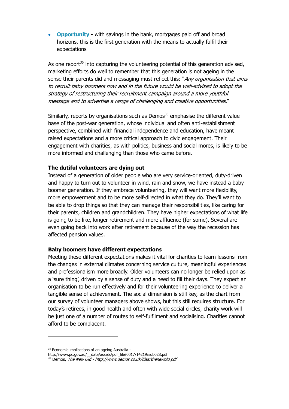**Opportunity** - with savings in the bank, mortgages paid off and broad horizons, this is the first generation with the means to actually fulfil their expectations

As one report $35$  into capturing the volunteering potential of this generation advised, marketing efforts do well to remember that this generation is not ageing in the sense their parents did and messaging must reflect this: "Any organisation that aims to recruit baby boomers now and in the future would be well-advised to adopt the strategy of restructuring their recruitment campaign around a more youthful message and to advertise a range of challenging and creative opportunities."

Similarly, reports by organisations such as Demos<sup>36</sup> emphasise the different value base of the post-war generation, whose individual and often anti-establishment perspective, combined with financial independence and education, have meant raised expectations and a more critical approach to civic engagement. Their engagement with charities, as with politics, business and social mores, is likely to be more informed and challenging than those who came before.

#### **The dutiful volunteers are dying out**

Instead of a generation of older people who are very service-oriented, duty-driven and happy to turn out to volunteer in wind, rain and snow, we have instead a baby boomer generation. If they embrace volunteering, they will want more flexibility, more empowerment and to be more self-directed in what they do. They'll want to be able to drop things so that they can manage their responsibilities, like caring for their parents, children and grandchildren. They have higher expectations of what life is going to be like, longer retirement and more affluence (for some). Several are even going back into work after retirement because of the way the recession has affected pension values.

#### **Baby boomers have different expectations**

Meeting these different expectations makes it vital for charities to learn lessons from the changes in external climates concerning service culture, meaningful experiences and professionalism more broadly. Older volunteers can no longer be relied upon as a 'sure thing', driven by a sense of duty and a need to fill their days. They expect an organisation to be run effectively and for their volunteering experience to deliver a tangible sense of achievement. The social dimension is still key, as the chart from our survey of volunteer managers above shows, but this still requires structure. For today's retirees, in good health and often with wide social circles, charity work will be just one of a number of routes to self-fulfilment and socialising. Charities cannot afford to be complacent.

 $\overline{a}$ 

<sup>&</sup>lt;sup>35</sup> Economic implications of an ageing Australia -

http://www.pc.gov.au/\_\_data/assets/pdf\_file/0017/14219/sub028.pdf

<sup>&</sup>lt;sup>36</sup> Demos, The New Old - http://www.demos.co.uk/files/thenewold.pdf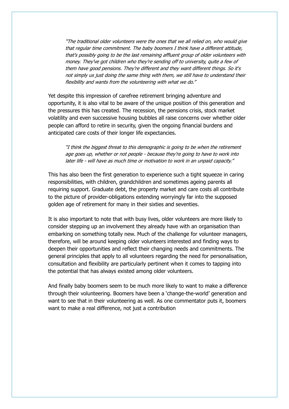"The traditional older volunteers were the ones that we all relied on, who would give that regular time commitment. The baby boomers I think have a different attitude, that's possibly going to be the last remaining affluent group of older volunteers with money. They've got children who they're sending off to university, quite a few of them have good pensions. They're different and they want different things. So it's not simply us just doing the same thing with them, we still have to understand their flexibility and wants from the volunteering with what we do."

Yet despite this impression of carefree retirement bringing adventure and opportunity, it is also vital to be aware of the unique position of this generation and the pressures this has created. The recession, the pensions crisis, stock market volatility and even successive housing bubbles all raise concerns over whether older people can afford to retire in security, given the ongoing financial burdens and anticipated care costs of their longer life expectancies.

"I think the biggest threat to this demographic is going to be when the retirement age goes up, whether or not people - because they're going to have to work into later life - will have as much time or motivation to work in an unpaid capacity."

This has also been the first generation to experience such a tight squeeze in caring responsibilities, with children, grandchildren and sometimes ageing parents all requiring support. Graduate debt, the property market and care costs all contribute to the picture of provider-obligations extending worryingly far into the supposed golden age of retirement for many in their sixties and seventies.

It is also important to note that with busy lives, older volunteers are more likely to consider stepping up an involvement they already have with an organisation than embarking on something totally new. Much of the challenge for volunteer managers, therefore, will be around keeping older volunteers interested and finding ways to deepen their opportunities and reflect their changing needs and commitments. The general principles that apply to all volunteers regarding the need for personalisation, consultation and flexibility are particularly pertinent when it comes to tapping into the potential that has always existed among older volunteers.

And finally baby boomers seem to be much more likely to want to make a difference through their volunteering. Boomers have been a 'change-the-world' generation and want to see that in their volunteering as well. As one commentator puts it, boomers want to make a real difference, not just a contribution